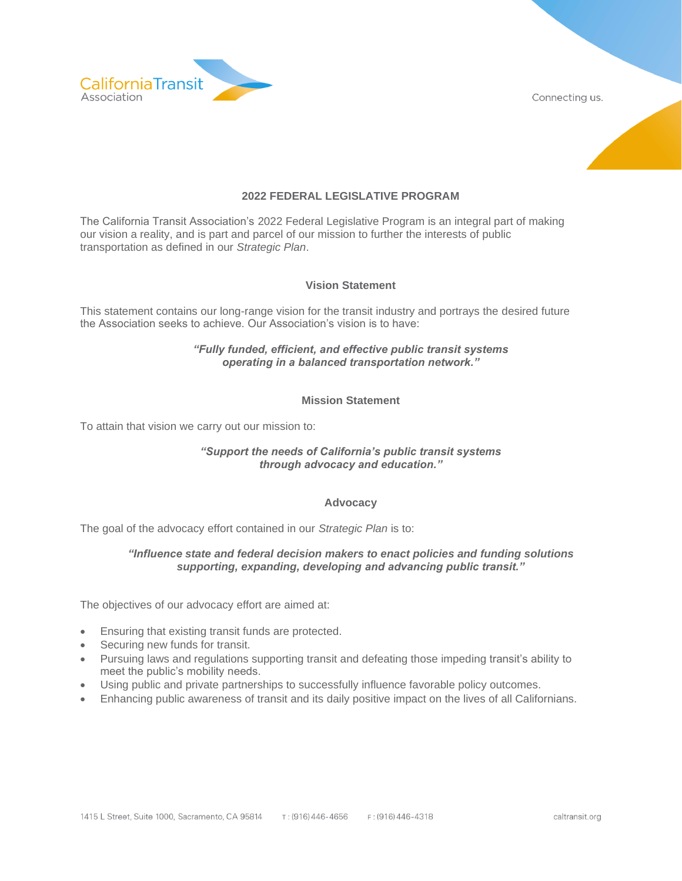

Connecting us.



# **2022 FEDERAL LEGISLATIVE PROGRAM**

The California Transit Association's 2022 Federal Legislative Program is an integral part of making our vision a reality, and is part and parcel of our mission to further the interests of public transportation as defined in our *Strategic Plan*.

### **Vision Statement**

This statement contains our long-range vision for the transit industry and portrays the desired future the Association seeks to achieve. Our Association's vision is to have:

## *"Fully funded, efficient, and effective public transit systems operating in a balanced transportation network."*

## **Mission Statement**

To attain that vision we carry out our mission to:

### *"Support the needs of California's public transit systems through advocacy and education."*

### **Advocacy**

The goal of the advocacy effort contained in our *Strategic Plan* is to:

### *"Influence state and federal decision makers to enact policies and funding solutions supporting, expanding, developing and advancing public transit."*

The objectives of our advocacy effort are aimed at:

- Ensuring that existing transit funds are protected.
- Securing new funds for transit.
- Pursuing laws and regulations supporting transit and defeating those impeding transit's ability to meet the public's mobility needs.
- Using public and private partnerships to successfully influence favorable policy outcomes.
- Enhancing public awareness of transit and its daily positive impact on the lives of all Californians.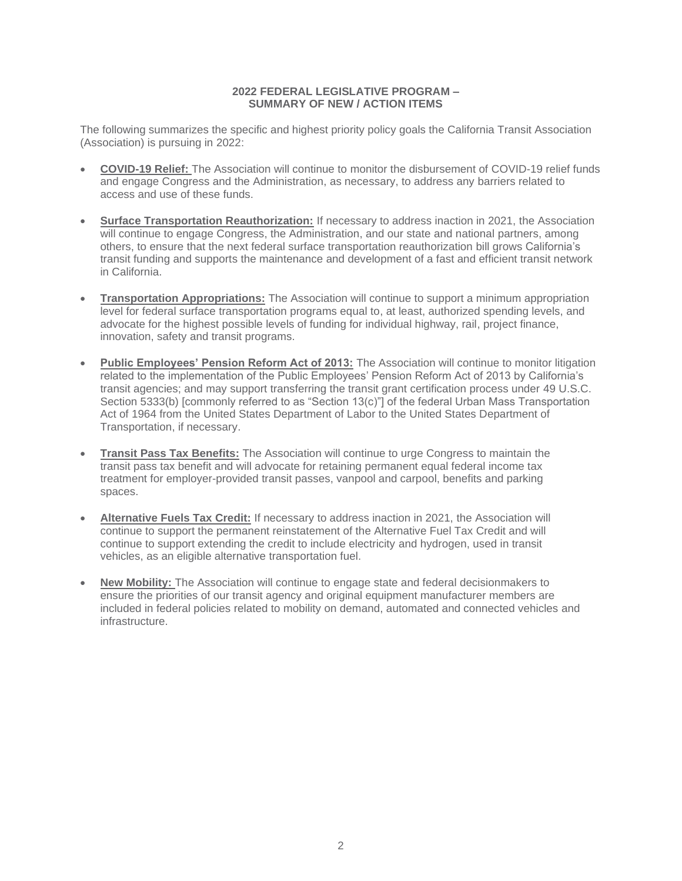## **2022 FEDERAL LEGISLATIVE PROGRAM – SUMMARY OF NEW / ACTION ITEMS**

The following summarizes the specific and highest priority policy goals the California Transit Association (Association) is pursuing in 2022:

- **COVID-19 Relief:** The Association will continue to monitor the disbursement of COVID-19 relief funds and engage Congress and the Administration, as necessary, to address any barriers related to access and use of these funds.
- **Surface Transportation Reauthorization:** If necessary to address inaction in 2021, the Association will continue to engage Congress, the Administration, and our state and national partners, among others, to ensure that the next federal surface transportation reauthorization bill grows California's transit funding and supports the maintenance and development of a fast and efficient transit network in California.
- **Transportation Appropriations:** The Association will continue to support a minimum appropriation level for federal surface transportation programs equal to, at least, authorized spending levels, and advocate for the highest possible levels of funding for individual highway, rail, project finance, innovation, safety and transit programs.
- **Public Employees' Pension Reform Act of 2013:** The Association will continue to monitor litigation related to the implementation of the Public Employees' Pension Reform Act of 2013 by California's transit agencies; and may support transferring the transit grant certification process under 49 U.S.C. Section 5333(b) [commonly referred to as "Section 13(c)"] of the federal Urban Mass Transportation Act of 1964 from the United States Department of Labor to the United States Department of Transportation, if necessary.
- **Transit Pass Tax Benefits:** The Association will continue to urge Congress to maintain the transit pass tax benefit and will advocate for retaining permanent equal federal income tax treatment for employer-provided transit passes, vanpool and carpool, benefits and parking spaces.
- **Alternative Fuels Tax Credit:** If necessary to address inaction in 2021, the Association will continue to support the permanent reinstatement of the Alternative Fuel Tax Credit and will continue to support extending the credit to include electricity and hydrogen, used in transit vehicles, as an eligible alternative transportation fuel.
- **New Mobility:** The Association will continue to engage state and federal decisionmakers to ensure the priorities of our transit agency and original equipment manufacturer members are included in federal policies related to mobility on demand, automated and connected vehicles and infrastructure.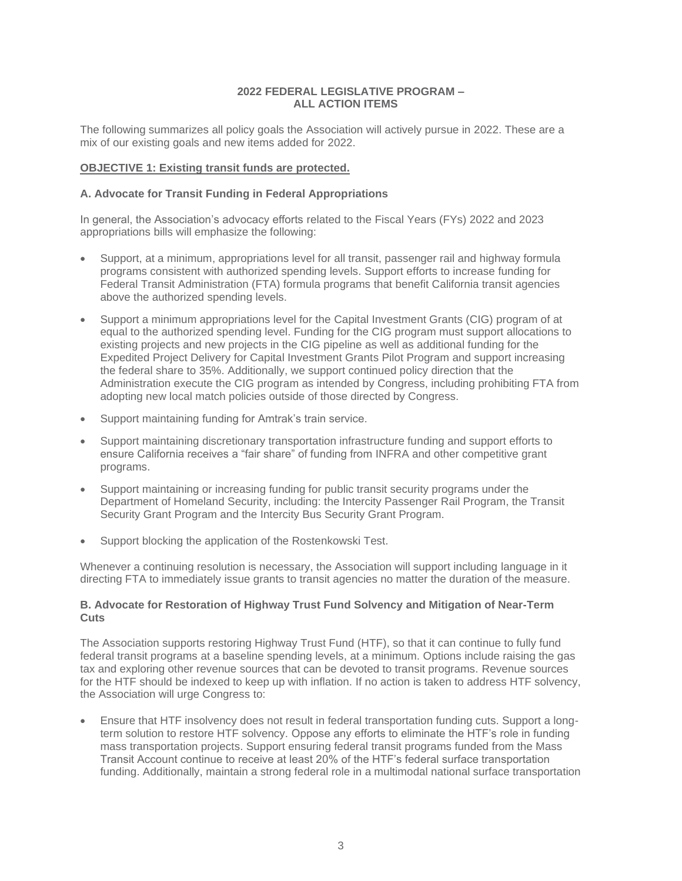## **2022 FEDERAL LEGISLATIVE PROGRAM – ALL ACTION ITEMS**

The following summarizes all policy goals the Association will actively pursue in 2022. These are a mix of our existing goals and new items added for 2022.

## **OBJECTIVE 1: Existing transit funds are protected.**

### **A. Advocate for Transit Funding in Federal Appropriations**

In general, the Association's advocacy efforts related to the Fiscal Years (FYs) 2022 and 2023 appropriations bills will emphasize the following:

- Support, at a minimum, appropriations level for all transit, passenger rail and highway formula programs consistent with authorized spending levels. Support efforts to increase funding for Federal Transit Administration (FTA) formula programs that benefit California transit agencies above the authorized spending levels.
- Support a minimum appropriations level for the Capital Investment Grants (CIG) program of at equal to the authorized spending level. Funding for the CIG program must support allocations to existing projects and new projects in the CIG pipeline as well as additional funding for the Expedited Project Delivery for Capital Investment Grants Pilot Program and support increasing the federal share to 35%. Additionally, we support continued policy direction that the Administration execute the CIG program as intended by Congress, including prohibiting FTA from adopting new local match policies outside of those directed by Congress.
- Support maintaining funding for Amtrak's train service.
- Support maintaining discretionary transportation infrastructure funding and support efforts to ensure California receives a "fair share" of funding from INFRA and other competitive grant programs.
- Support maintaining or increasing funding for public transit security programs under the Department of Homeland Security, including: the Intercity Passenger Rail Program, the Transit Security Grant Program and the Intercity Bus Security Grant Program.
- Support blocking the application of the Rostenkowski Test.

Whenever a continuing resolution is necessary, the Association will support including language in it directing FTA to immediately issue grants to transit agencies no matter the duration of the measure.

### **B. Advocate for Restoration of Highway Trust Fund Solvency and Mitigation of Near-Term Cuts**

The Association supports restoring Highway Trust Fund (HTF), so that it can continue to fully fund federal transit programs at a baseline spending levels, at a minimum. Options include raising the gas tax and exploring other revenue sources that can be devoted to transit programs. Revenue sources for the HTF should be indexed to keep up with inflation. If no action is taken to address HTF solvency, the Association will urge Congress to:

• Ensure that HTF insolvency does not result in federal transportation funding cuts. Support a longterm solution to restore HTF solvency. Oppose any efforts to eliminate the HTF's role in funding mass transportation projects. Support ensuring federal transit programs funded from the Mass Transit Account continue to receive at least 20% of the HTF's federal surface transportation funding. Additionally, maintain a strong federal role in a multimodal national surface transportation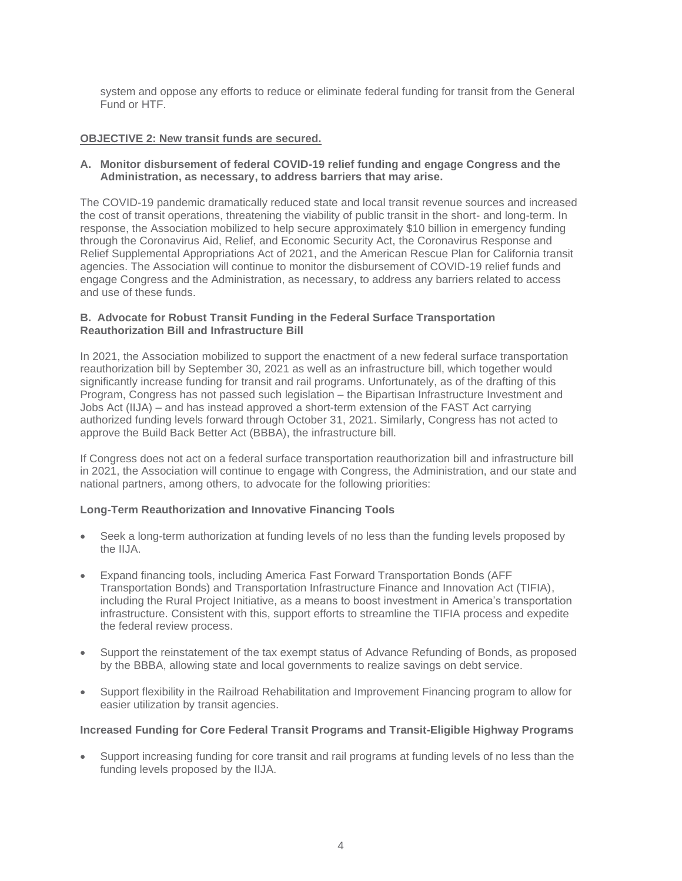system and oppose any efforts to reduce or eliminate federal funding for transit from the General Fund or HTF.

### **OBJECTIVE 2: New transit funds are secured.**

## **A. Monitor disbursement of federal COVID-19 relief funding and engage Congress and the Administration, as necessary, to address barriers that may arise.**

The COVID-19 pandemic dramatically reduced state and local transit revenue sources and increased the cost of transit operations, threatening the viability of public transit in the short- and long-term. In response, the Association mobilized to help secure approximately \$10 billion in emergency funding through the Coronavirus Aid, Relief, and Economic Security Act, the Coronavirus Response and Relief Supplemental Appropriations Act of 2021, and the American Rescue Plan for California transit agencies. The Association will continue to monitor the disbursement of COVID-19 relief funds and engage Congress and the Administration, as necessary, to address any barriers related to access and use of these funds.

## **B. Advocate for Robust Transit Funding in the Federal Surface Transportation Reauthorization Bill and Infrastructure Bill**

In 2021, the Association mobilized to support the enactment of a new federal surface transportation reauthorization bill by September 30, 2021 as well as an infrastructure bill, which together would significantly increase funding for transit and rail programs. Unfortunately, as of the drafting of this Program, Congress has not passed such legislation – the Bipartisan Infrastructure Investment and Jobs Act (IIJA) – and has instead approved a short-term extension of the FAST Act carrying authorized funding levels forward through October 31, 2021. Similarly, Congress has not acted to approve the Build Back Better Act (BBBA), the infrastructure bill.

If Congress does not act on a federal surface transportation reauthorization bill and infrastructure bill in 2021, the Association will continue to engage with Congress, the Administration, and our state and national partners, among others, to advocate for the following priorities:

# **Long-Term Reauthorization and Innovative Financing Tools**

- Seek a long-term authorization at funding levels of no less than the funding levels proposed by the IIJA.
- Expand financing tools, including America Fast Forward Transportation Bonds (AFF Transportation Bonds) and Transportation Infrastructure Finance and Innovation Act (TIFIA), including the Rural Project Initiative, as a means to boost investment in America's transportation infrastructure. Consistent with this, support efforts to streamline the TIFIA process and expedite the federal review process.
- Support the reinstatement of the tax exempt status of Advance Refunding of Bonds, as proposed by the BBBA, allowing state and local governments to realize savings on debt service.
- Support flexibility in the Railroad Rehabilitation and Improvement Financing program to allow for easier utilization by transit agencies.

### **Increased Funding for Core Federal Transit Programs and Transit-Eligible Highway Programs**

• Support increasing funding for core transit and rail programs at funding levels of no less than the funding levels proposed by the IIJA.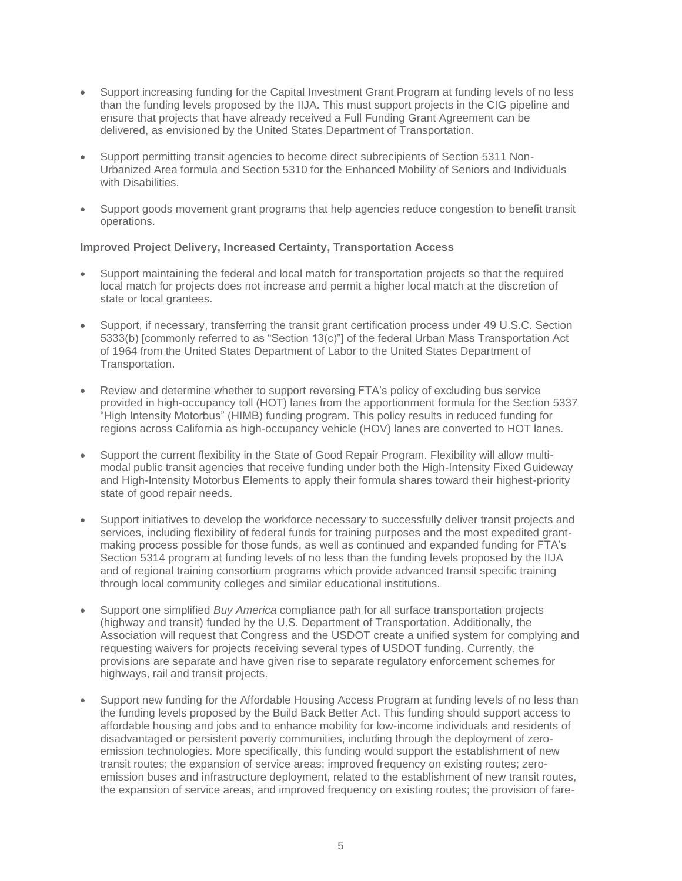- Support increasing funding for the Capital Investment Grant Program at funding levels of no less than the funding levels proposed by the IIJA. This must support projects in the CIG pipeline and ensure that projects that have already received a Full Funding Grant Agreement can be delivered, as envisioned by the United States Department of Transportation.
- Support permitting transit agencies to become direct subrecipients of Section 5311 Non-Urbanized Area formula and Section 5310 for the Enhanced Mobility of Seniors and Individuals with Disabilities
- Support goods movement grant programs that help agencies reduce congestion to benefit transit operations.

### **Improved Project Delivery, Increased Certainty, Transportation Access**

- Support maintaining the federal and local match for transportation projects so that the required local match for projects does not increase and permit a higher local match at the discretion of state or local grantees.
- Support, if necessary, transferring the transit grant certification process under 49 U.S.C. Section 5333(b) [commonly referred to as "Section 13(c)"] of the federal Urban Mass Transportation Act of 1964 from the United States Department of Labor to the United States Department of Transportation.
- Review and determine whether to support reversing FTA's policy of excluding bus service provided in high-occupancy toll (HOT) lanes from the apportionment formula for the Section 5337 "High Intensity Motorbus" (HIMB) funding program. This policy results in reduced funding for regions across California as high-occupancy vehicle (HOV) lanes are converted to HOT lanes.
- Support the current flexibility in the State of Good Repair Program. Flexibility will allow multimodal public transit agencies that receive funding under both the High-Intensity Fixed Guideway and High-Intensity Motorbus Elements to apply their formula shares toward their highest-priority state of good repair needs.
- Support initiatives to develop the workforce necessary to successfully deliver transit projects and services, including flexibility of federal funds for training purposes and the most expedited grantmaking process possible for those funds, as well as continued and expanded funding for FTA's Section 5314 program at funding levels of no less than the funding levels proposed by the IIJA and of regional training consortium programs which provide advanced transit specific training through local community colleges and similar educational institutions.
- Support one simplified *Buy America* compliance path for all surface transportation projects (highway and transit) funded by the U.S. Department of Transportation. Additionally, the Association will request that Congress and the USDOT create a unified system for complying and requesting waivers for projects receiving several types of USDOT funding. Currently, the provisions are separate and have given rise to separate regulatory enforcement schemes for highways, rail and transit projects.
- Support new funding for the Affordable Housing Access Program at funding levels of no less than the funding levels proposed by the Build Back Better Act. This funding should support access to affordable housing and jobs and to enhance mobility for low-income individuals and residents of disadvantaged or persistent poverty communities, including through the deployment of zeroemission technologies. More specifically, this funding would support the establishment of new transit routes; the expansion of service areas; improved frequency on existing routes; zeroemission buses and infrastructure deployment, related to the establishment of new transit routes, the expansion of service areas, and improved frequency on existing routes; the provision of fare-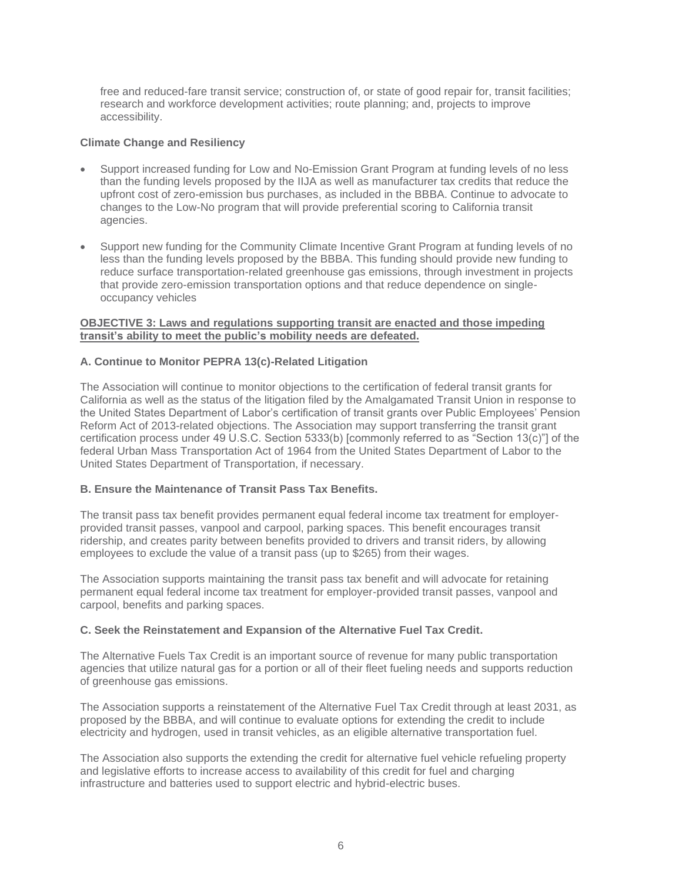free and reduced-fare transit service; construction of, or state of good repair for, transit facilities; research and workforce development activities; route planning; and, projects to improve accessibility.

## **Climate Change and Resiliency**

- Support increased funding for Low and No-Emission Grant Program at funding levels of no less than the funding levels proposed by the IIJA as well as manufacturer tax credits that reduce the upfront cost of zero-emission bus purchases, as included in the BBBA. Continue to advocate to changes to the Low-No program that will provide preferential scoring to California transit agencies.
- Support new funding for the Community Climate Incentive Grant Program at funding levels of no less than the funding levels proposed by the BBBA. This funding should provide new funding to reduce surface transportation-related greenhouse gas emissions, through investment in projects that provide zero-emission transportation options and that reduce dependence on singleoccupancy vehicles

## **OBJECTIVE 3: Laws and regulations supporting transit are enacted and those impeding transit's ability to meet the public's mobility needs are defeated.**

# **A. Continue to Monitor PEPRA 13(c)-Related Litigation**

The Association will continue to monitor objections to the certification of federal transit grants for California as well as the status of the litigation filed by the Amalgamated Transit Union in response to the United States Department of Labor's certification of transit grants over Public Employees' Pension Reform Act of 2013-related objections. The Association may support transferring the transit grant certification process under 49 U.S.C. Section 5333(b) [commonly referred to as "Section 13(c)"] of the federal Urban Mass Transportation Act of 1964 from the United States Department of Labor to the United States Department of Transportation, if necessary.

# **B. Ensure the Maintenance of Transit Pass Tax Benefits.**

The transit pass tax benefit provides permanent equal federal income tax treatment for employerprovided transit passes, vanpool and carpool, parking spaces. This benefit encourages transit ridership, and creates parity between benefits provided to drivers and transit riders, by allowing employees to exclude the value of a transit pass (up to \$265) from their wages.

The Association supports maintaining the transit pass tax benefit and will advocate for retaining permanent equal federal income tax treatment for employer-provided transit passes, vanpool and carpool, benefits and parking spaces.

### **C. Seek the Reinstatement and Expansion of the Alternative Fuel Tax Credit.**

The Alternative Fuels Tax Credit is an important source of revenue for many public transportation agencies that utilize natural gas for a portion or all of their fleet fueling needs and supports reduction of greenhouse gas emissions.

The Association supports a reinstatement of the Alternative Fuel Tax Credit through at least 2031, as proposed by the BBBA, and will continue to evaluate options for extending the credit to include electricity and hydrogen, used in transit vehicles, as an eligible alternative transportation fuel.

The Association also supports the extending the credit for alternative fuel vehicle refueling property and legislative efforts to increase access to availability of this credit for fuel and charging infrastructure and batteries used to support electric and hybrid-electric buses.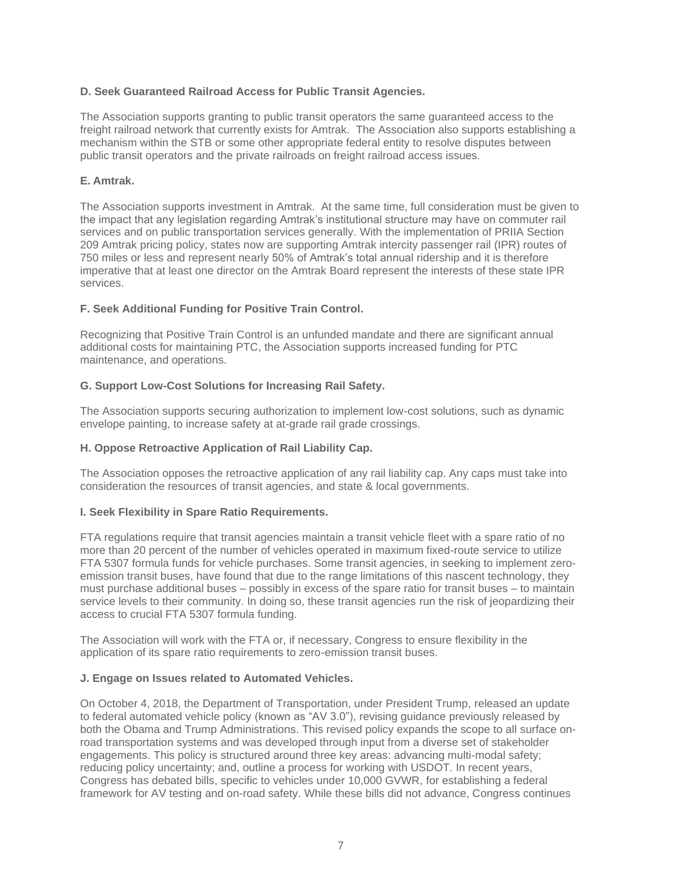## **D. Seek Guaranteed Railroad Access for Public Transit Agencies.**

The Association supports granting to public transit operators the same guaranteed access to the freight railroad network that currently exists for Amtrak. The Association also supports establishing a mechanism within the STB or some other appropriate federal entity to resolve disputes between public transit operators and the private railroads on freight railroad access issues.

## **E. Amtrak.**

The Association supports investment in Amtrak. At the same time, full consideration must be given to the impact that any legislation regarding Amtrak's institutional structure may have on commuter rail services and on public transportation services generally. With the implementation of PRIIA Section 209 Amtrak pricing policy, states now are supporting Amtrak intercity passenger rail (IPR) routes of 750 miles or less and represent nearly 50% of Amtrak's total annual ridership and it is therefore imperative that at least one director on the Amtrak Board represent the interests of these state IPR services.

## **F. Seek Additional Funding for Positive Train Control.**

Recognizing that Positive Train Control is an unfunded mandate and there are significant annual additional costs for maintaining PTC, the Association supports increased funding for PTC maintenance, and operations.

## **G. Support Low-Cost Solutions for Increasing Rail Safety.**

The Association supports securing authorization to implement low-cost solutions, such as dynamic envelope painting, to increase safety at at-grade rail grade crossings.

### **H. Oppose Retroactive Application of Rail Liability Cap.**

The Association opposes the retroactive application of any rail liability cap. Any caps must take into consideration the resources of transit agencies, and state & local governments.

### **I. Seek Flexibility in Spare Ratio Requirements.**

FTA regulations require that transit agencies maintain a transit vehicle fleet with a spare ratio of no more than 20 percent of the number of vehicles operated in maximum fixed-route service to utilize FTA 5307 formula funds for vehicle purchases. Some transit agencies, in seeking to implement zeroemission transit buses, have found that due to the range limitations of this nascent technology, they must purchase additional buses – possibly in excess of the spare ratio for transit buses – to maintain service levels to their community. In doing so, these transit agencies run the risk of jeopardizing their access to crucial FTA 5307 formula funding.

The Association will work with the FTA or, if necessary, Congress to ensure flexibility in the application of its spare ratio requirements to zero-emission transit buses.

### **J. Engage on Issues related to Automated Vehicles.**

On October 4, 2018, the Department of Transportation, under President Trump, released an update to federal automated vehicle policy (known as "AV 3.0"), revising guidance previously released by both the Obama and Trump Administrations. This revised policy expands the scope to all surface onroad transportation systems and was developed through input from a diverse set of stakeholder engagements. This policy is structured around three key areas: advancing multi-modal safety; reducing policy uncertainty; and, outline a process for working with USDOT. In recent years, Congress has debated bills, specific to vehicles under 10,000 GVWR, for establishing a federal framework for AV testing and on-road safety. While these bills did not advance, Congress continues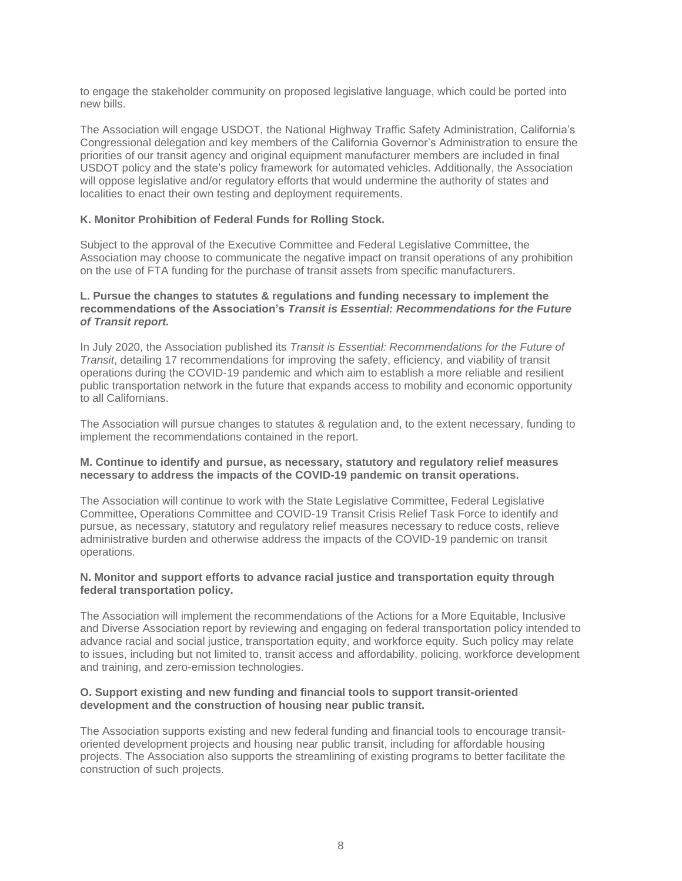to engage the stakeholder community on proposed legislative language, which could be ported into new bills.

The Association will engage USDOT, the National Highway Traffic Safety Administration, California's Congressional delegation and key members of the California Governor's Administration to ensure the priorities of our transit agency and original equipment manufacturer members are included in final USDOT policy and the state's policy framework for automated vehicles. Additionally, the Association will oppose legislative and/or regulatory efforts that would undermine the authority of states and localities to enact their own testing and deployment requirements.

### **K. Monitor Prohibition of Federal Funds for Rolling Stock.**

Subject to the approval of the Executive Committee and Federal Legislative Committee, the Association may choose to communicate the negative impact on transit operations of any prohibition on the use of FTA funding for the purchase of transit assets from specific manufacturers.

#### **L. Pursue the changes to statutes & regulations and funding necessary to implement the recommendations of the Association's** *Transit is Essential: Recommendations for the Future of Transit report.*

In July 2020, the Association published its *Transit is Essential: Recommendations for the Future of Transit*, detailing 17 recommendations for improving the safety, efficiency, and viability of transit operations during the COVID-19 pandemic and which aim to establish a more reliable and resilient public transportation network in the future that expands access to mobility and economic opportunity to all Californians.

The Association will pursue changes to statutes & regulation and, to the extent necessary, funding to implement the recommendations contained in the report.

#### **M. Continue to identify and pursue, as necessary, statutory and regulatory relief measures necessary to address the impacts of the COVID-19 pandemic on transit operations.**

The Association will continue to work with the State Legislative Committee, Federal Legislative Committee, Operations Committee and COVID-19 Transit Crisis Relief Task Force to identify and pursue, as necessary, statutory and regulatory relief measures necessary to reduce costs, relieve administrative burden and otherwise address the impacts of the COVID-19 pandemic on transit operations.

#### **N. Monitor and support efforts to advance racial justice and transportation equity through federal transportation policy.**

The Association will implement the recommendations of the Actions for a More Equitable, Inclusive and Diverse Association report by reviewing and engaging on federal transportation policy intended to advance racial and social justice, transportation equity, and workforce equity. Such policy may relate to issues, including but not limited to, transit access and affordability, policing, workforce development and training, and zero-emission technologies.

#### **O. Support existing and new funding and financial tools to support transit-oriented development and the construction of housing near public transit.**

The Association supports existing and new federal funding and financial tools to encourage transitoriented development projects and housing near public transit, including for affordable housing projects. The Association also supports the streamlining of existing programs to better facilitate the construction of such projects.